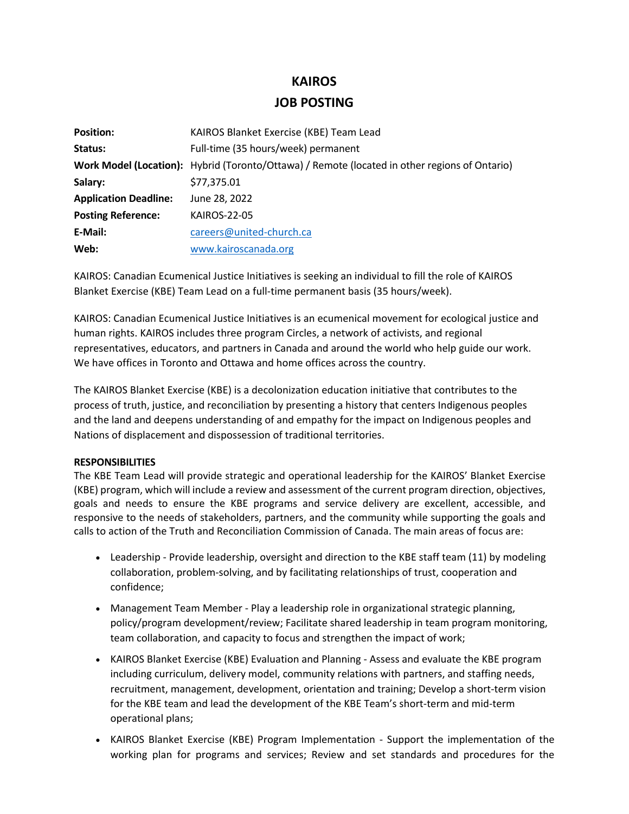# **KAIROS**

# **JOB POSTING**

| <b>Position:</b>             | KAIROS Blanket Exercise (KBE) Team Lead                                                       |
|------------------------------|-----------------------------------------------------------------------------------------------|
| Status:                      | Full-time (35 hours/week) permanent                                                           |
|                              | Work Model (Location): Hybrid (Toronto/Ottawa) / Remote (located in other regions of Ontario) |
| Salary:                      | \$77,375.01                                                                                   |
| <b>Application Deadline:</b> | June 28, 2022                                                                                 |
| <b>Posting Reference:</b>    | <b>KAIROS-22-05</b>                                                                           |
| E-Mail:                      | careers@united-church.ca                                                                      |
| Web:                         | www.kairoscanada.org                                                                          |

KAIROS: Canadian Ecumenical Justice Initiatives is seeking an individual to fill the role of KAIROS Blanket Exercise (KBE) Team Lead on a full-time permanent basis (35 hours/week).

KAIROS: Canadian Ecumenical Justice Initiatives is an ecumenical movement for ecological justice and human rights. KAIROS includes three program Circles, a network of activists, and regional representatives, educators, and partners in Canada and around the world who help guide our work. We have offices in Toronto and Ottawa and home offices across the country.

The KAIROS Blanket Exercise (KBE) is a decolonization education initiative that contributes to the process of truth, justice, and reconciliation by presenting a history that centers Indigenous peoples and the land and deepens understanding of and empathy for the impact on Indigenous peoples and Nations of displacement and dispossession of traditional territories.

#### **RESPONSIBILITIES**

The KBE Team Lead will provide strategic and operational leadership for the KAIROS' Blanket Exercise (KBE) program, which will include a review and assessment of the current program direction, objectives, goals and needs to ensure the KBE programs and service delivery are excellent, accessible, and responsive to the needs of stakeholders, partners, and the community while supporting the goals and calls to action of the Truth and Reconciliation Commission of Canada. The main areas of focus are:

- Leadership Provide leadership, oversight and direction to the KBE staff team (11) by modeling collaboration, problem-solving, and by facilitating relationships of trust, cooperation and confidence;
- Management Team Member Play a leadership role in organizational strategic planning, policy/program development/review; Facilitate shared leadership in team program monitoring, team collaboration, and capacity to focus and strengthen the impact of work;
- KAIROS Blanket Exercise (KBE) Evaluation and Planning Assess and evaluate the KBE program including curriculum, delivery model, community relations with partners, and staffing needs, recruitment, management, development, orientation and training; Develop a short-term vision for the KBE team and lead the development of the KBE Team's short-term and mid-term operational plans;
- KAIROS Blanket Exercise (KBE) Program Implementation Support the implementation of the working plan for programs and services; Review and set standards and procedures for the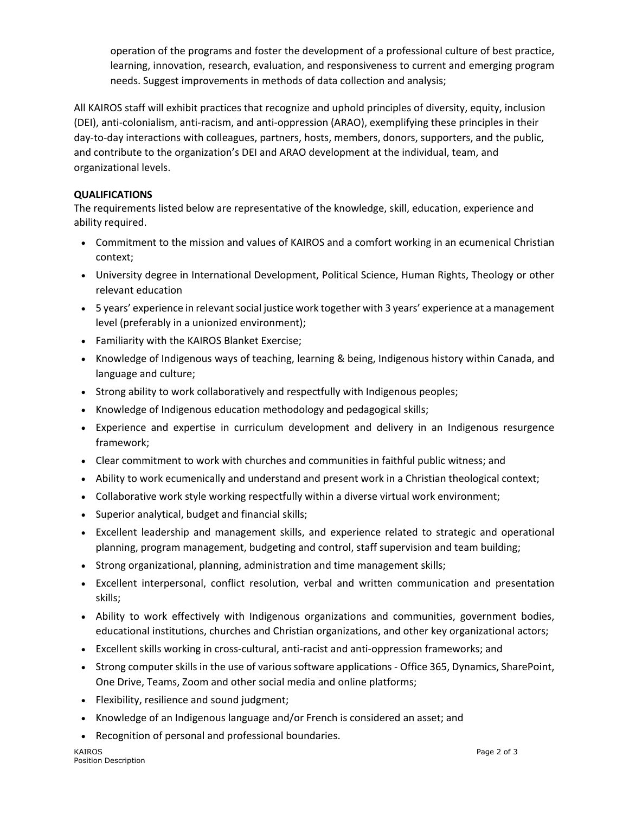operation of the programs and foster the development of a professional culture of best practice, learning, innovation, research, evaluation, and responsiveness to current and emerging program needs. Suggest improvements in methods of data collection and analysis;

All KAIROS staff will exhibit practices that recognize and uphold principles of diversity, equity, inclusion (DEI), anti-colonialism, anti-racism, and anti-oppression (ARAO), exemplifying these principles in their day-to-day interactions with colleagues, partners, hosts, members, donors, supporters, and the public, and contribute to the organization's DEI and ARAO development at the individual, team, and organizational levels.

## **QUALIFICATIONS**

The requirements listed below are representative of the knowledge, skill, education, experience and ability required.

- Commitment to the mission and values of KAIROS and a comfort working in an ecumenical Christian context;
- University degree in International Development, Political Science, Human Rights, Theology or other relevant education
- 5 years' experience in relevant social justice work together with 3 years' experience at a management level (preferably in a unionized environment);
- Familiarity with the KAIROS Blanket Exercise;
- Knowledge of Indigenous ways of teaching, learning & being, Indigenous history within Canada, and language and culture;
- Strong ability to work collaboratively and respectfully with Indigenous peoples;
- Knowledge of Indigenous education methodology and pedagogical skills;
- Experience and expertise in curriculum development and delivery in an Indigenous resurgence framework;
- Clear commitment to work with churches and communities in faithful public witness; and
- Ability to work ecumenically and understand and present work in a Christian theological context;
- Collaborative work style working respectfully within a diverse virtual work environment;
- Superior analytical, budget and financial skills;
- Excellent leadership and management skills, and experience related to strategic and operational planning, program management, budgeting and control, staff supervision and team building;
- Strong organizational, planning, administration and time management skills;
- Excellent interpersonal, conflict resolution, verbal and written communication and presentation skills;
- Ability to work effectively with Indigenous organizations and communities, government bodies, educational institutions, churches and Christian organizations, and other key organizational actors;
- Excellent skills working in cross-cultural, anti-racist and anti-oppression frameworks; and
- Strong computer skills in the use of various software applications Office 365, Dynamics, SharePoint, One Drive, Teams, Zoom and other social media and online platforms;
- Flexibility, resilience and sound judgment;
- Knowledge of an Indigenous language and/or French is considered an asset; and
- Recognition of personal and professional boundaries.